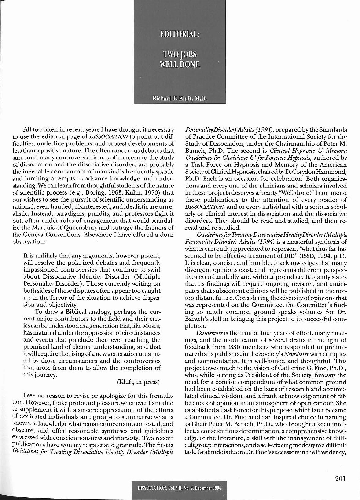

All too often in recent years I have thought it necessary to use the editorial page of *DISSOCIATION* to point out difficulties, underline problems, and protest developments of less than a positive nature. The often rancorous debates that surround many controversial issues of concern to the study of dissociation and the dissociative disorders are probably the inevitable concomitant of mankind's frequently spastic and lurching attempts to advance knowledge and understanding. We can learn from thoughtfulstudentsofthe nature of scientific process (e.g., Boring, 1963; Kuhn, 1970) that our wishes to see the pursuit of scientific understanding as rational, even-handed, disinterested, and idealistic are unrealistic. Instead, paradigms, pundits, and professors fight it out, often under rules of engagement that would scandalize the Marquis of Queensbury and outrage the framers of the Geneva Conventions. Elsewhere I have offered a dour observation:

It is unlikely that any arguments, however potent, will resolve the polarized debates and frequently impassioned controversies that continue to swirl about Dissociative Identity Disorder (Multiple Personality Disorder). Those currently writing on both sides of these disputes often appear too caught up in the fervor of the situation to achieve dispassion and objectivity.

To draw a Biblical analogy, perhaps the current major contributors to the field and their criticscan beunderstood asageneration that, like Moses, has matured under the oppression of circumstances and events that preclude their ever reaching the promised land of clearer understanding, and that itwill require the risingofanewgeneration untainted by those circumstances and the controversies that arose from them to allow the completion of thisjourney.

## (Kluft, in press)

I see no reason to revise or apologize for this formulation. However, I take profound pleasure whenever I am able to supplement it with a sincere appreciation of the efforts of dedicated individuals and groups to summarize what is known, acknowledge whatremains uncertain, contested, and obscure, and offer reasonable syntheses and guidelines expressed with conscientiousness and modesty. Two recent publications have won my respect and gratitude. The first is *Guidelines for Treating Dissociative identity Disorder (Multiple* expressed with conscientiousness and modesty. Two recent edge of the literature, a skill with the management of diffi-<br>publications have won my respect and gratitude. The first is cultgroup interactions, and a self-effacin

*PersonaliryDisorder) Adults* (1994), prepared by the Standards of Practice Committee of the International Society for the Study of Dissociation, under the Chairmanship of Peter M. Barach, Ph.D. The second is *Clinical Hypnosis* & *Memory*: *Guidelinesjor Clinicians* & *for Forensic Hypnosis,* authored by a Task Force on Hypnosis and Memory of the American SocietyofClinicalHypnosis, chaired byD. Corydon Hammond, Ph.D. Each is an occasion for celebration. Both organizations and every one of the clinicians and scholars involved in these projects deserves a hearty "Well done!" I commend these publications to the attention of every reader of *DISSOCIATION,* and to every individual with a serious scholarly or clinical interest in dissociation and the dissociative disorders. They should be read and studied, and then reread and re-studied.

*GuidelinesjorTreatingDissociativeldentityDisorder(MuUiple Personality Disorder) Adults* (1994) is a masterful synthesis of what is currently appreciated to represent "what thus far has seemed to be effective treatment of DID" (ISSD, 1994, p.1). It is clear, concise, and humble. It acknowledges that many divergent opinions exist, and represents different perspectives even-handedly and without prejudice. It openly states that its findings will require ongoing revision, and anticipates that subsequent editions will be published in the nottoo-distant future. Considering the diversity ofopinions that was represented on the Committee, the Committee's finding so much common ground speaks volumes for Dr. Barach's skill in bringing this project to its successful completion.

Guidelines is the fruit of four years of effort, many meetings, and the modification of several drafts in the light of feedback from ISSD members who responded to preliminary drafts published in the Society's *Newsletter* with critiques and commentaries. It is well-honed and thoughtful. This project owes much to the vision ofCatherine G. Fine, Ph.D., who, while serving as President of the Society, foresaw the need for a concise compendium of what common ground had been established on the basis of research and accumulated clinical wisdom, and a frank acknowledgement of differences of opinion in an atmosphere of open candor. She established aTaskForce for this purpose, which later became a Committee. Dr. Fine made an inspired choice in naming as Chair Peter M. Barach, Ph.D., who brought a keen intellect, aconscientious determination, a comprehensive knowledge of the literature, a skill with the management of difficultgroup interactions, and a self-effacing modesty to a difficult task. Gratitude isdue to Dr. Fine'ssuccessorsin the Presidency,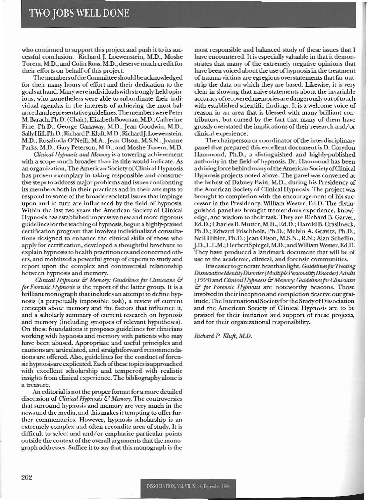who continued to support this project and push it to its successful conclusion. Richard J. Loewenstein, M.D., Moshe Torem, M.D., and Colin Ross, M.D., deserve much credit for their efforts on behalf of this project.

The membersofthe Committeeshould beacknowledged for their many hours of effort and their dedication to the goals at hand. Manywere individuals with strongly-held opinions, who nonetheless were able to subordinate their individual agendas in the interests of achieving the most balanced and representative guidelines. The memberswere Peter M. Barach,Ph.D. (Chair); Elizabeth Bowman, M.D.; Catherine Fine, Ph.D.; George Ganaway, M.D.; Jean Goodwin, M.D.; Sally Hill, Ph.D.; Richard P. Kluft, M.D.; Richard J. Loewenstein, M.D.; Rosalinda O'Neill, M.A.; Jean Olson, M.S.N.; Joanne Parks, M.D.; Gary Peterson, M.D.; and Moshe Torem. M.D.

*Clinical H'JImosis and Menwry* is a towering achievement with a scope much broader than its title would indicate. As an organization. The American SocietyofClinical Hypnosis has proven exemplary in taking responsible and constructive steps to address major problems and issues confronting its members both in their practices and in their attempts to respond to some of the broader societal issues that impinge upon and in turn are influenced by the field of hypnosis. Within the last two years the American Society of Clinical Hypnosis has established impressive new and more rigorous guidelinesfor the teaching ofhypnosis, begun a highly-praised certification program that involves individualized consultations designed to enhance the clinical skills of those who apply for certification. developed a thoughtful brochure to explain hypnosisto health practitioners and concerned others. and mobilized a powerful group of experts to study and report upon the complex and controversial relationship between hypnosis and memory.

*Clinical Hypnosis* & *Memory: Guidelines for Clinicians* & for Forensic Hypnosis is the report of the latter group. It is a brilliant monograph that includes an atlempt to define hypnosis (a perpetually impossible task). a review of current concepts about memory and the factors that influence it. and a scholarly summary of current research on hypnosis and memory (including synopses of relevant hypotheses). On these foundations it proposes guidelines for clinicians working with hypnosis and memory with patients who may have been abused. Appropriate and useful principles and cautions are articulated, and straightforward recommendations are offered. Also, guidelines for the conduct of forensic hypnosis are explicated. Each of these topics is approached with excellent scholarship and tempered with realistic insights from clinical experience. The bibliography alone is a treasure.

An editorial is not the properformat fora more detailed discussion of *Clinical Hypnosis* & *Memory*. The controversies that surround hypnosis and memory are very much in the news and the media. and this makes it tempting to offer further commentaries. However, hypnosis scholarship is an extremely complex and often recondite area of study. It is difficult to select and and/or emphasize particular points outside the context of the overall arguments that the monograph addresses. Suffice it to say that this monograph is the

most responsible and balanced study of these issues that l have encountered. It is especially valuable in that it demonstrates that many of the extremely negative opinions that have been voiced about the use of hypnosis in the treatment of trauma victims are egregious overstatements that far outstrip the data on which they are based. Likewise, it is very clear in showing that naive statemems about the invariable accuracy of recovered memories are dangerously out of touch with established scientific findings. It is a welcome voice of reason in an area that is blessed with many brilliant contributors, but cursed by the fact that many of them have grossly overstated the implications of their research and/or clinical experience.

The chairperson or coordinator of the interdisciplinary panel that prepared this excellent document is D. Corydon Hammond. Ph.D.• a distinguished and highly-published authority in the field of hypnosis. Dr. Hammond has been a driving force behind many of the American Society of Clinical Hypnosis projects noted above. The panel was convened at the behest of Dabney Ewin, M.D., during his Presidency of the American Society of Qinical Hypnosis. The project was brought to completion with the encouragement of his successor in the Presidency, William Wester, Ed.D. The distinguished panelists brought tremendous experience, knowledge, and wisdom to their task. They are Richard B. Garver, Ed.D.; Charles B. Mutter, M.D., Ed.D.; Harold B. Crasilneck, Ph.D.; Edward Frischholz. Ph.D.; Melvin A. Gravitz, Ph.D.; Neil Hibler, Ph.D.; Jean Olson, M.S.N., R.N.; Alan Scheflin, J.D., L.L.M.; Herbert Spiegel, M.D.; and William Wester, Ed.D. They have produced a landmark document that will be of use to the academic. clinical. and forensic communities.

It is easier to generate heat than light. *Guidelines for Treating* Dissociative Identity Disorder (Multiple Personality Disorder) Adults (1994) and *C/inicalHytm0.si5* & *Memory:* Guidelines*furCJinidam*  $&$  *for Forensic Hypnosis* are noteworthy beacons. Those involved in their inception and completion deserve ourgratitude. The International Societyfor the StudyofDissociation and the American Society of Clinical Hypnosis are to be praised for their initiation and support of these projects, and for their organizational responsibility.

*Richard P. Kluft, M.D.*